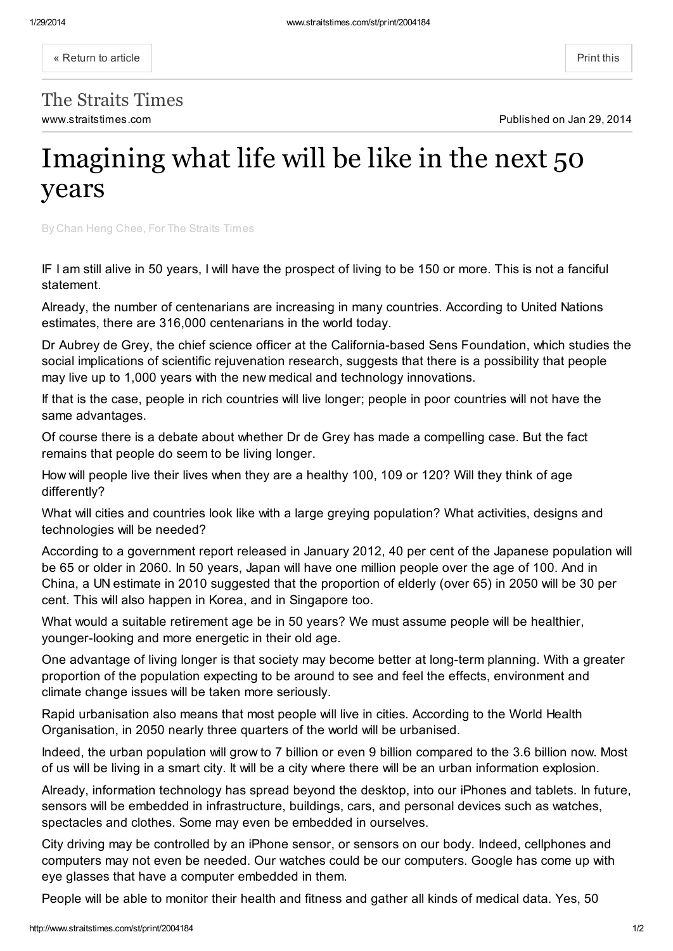« [Return](http://www.straitstimes.com/premium/opinion/story/imagining-what-life-will-be-the-next-50-years-20140129) to article  $\vert$ 

www.straitstimes.com **Published on Jan 29, 2014** The Straits Times

## Imagining what life will be like in the next 50 years

By Chan Heng Chee, For The Straits Times

IF I am still alive in 50 years, I will have the prospect of living to be 150 or more. This is not a fanciful statement.

Already, the number of centenarians are increasing in many countries. According to United Nations estimates, there are 316,000 centenarians in the world today.

Dr Aubrey de Grey, the chief science officer at the California-based Sens Foundation, which studies the social implications of scientific rejuvenation research, suggests that there is a possibility that people may live up to 1,000 years with the new medical and technology innovations.

If that is the case, people in rich countries will live longer; people in poor countries will not have the same advantages.

Of course there is a debate about whether Dr de Grey has made a compelling case. But the fact remains that people do seem to be living longer.

How will people live their lives when they are a healthy 100, 109 or 120? Will they think of age differently?

What will cities and countries look like with a large greying population? What activities, designs and technologies will be needed?

According to a government report released in January 2012, 40 per cent of the Japanese population will be 65 or older in 2060. In 50 years, Japan will have one million people over the age of 100. And in China, a UN estimate in 2010 suggested that the proportion of elderly (over 65) in 2050 will be 30 per cent. This will also happen in Korea, and in Singapore too.

What would a suitable retirement age be in 50 years? We must assume people will be healthier, younger-looking and more energetic in their old age.

One advantage of living longer is that society may become better at long-term planning. With a greater proportion of the population expecting to be around to see and feel the effects, environment and climate change issues will be taken more seriously.

Rapid urbanisation also means that most people will live in cities. According to the World Health Organisation, in 2050 nearly three quarters of the world will be urbanised.

Indeed, the urban population will grow to 7 billion or even 9 billion compared to the 3.6 billion now. Most of us will be living in a smart city. It will be a city where there will be an urban information explosion.

Already, information technology has spread beyond the desktop, into our iPhones and tablets. In future, sensors will be embedded in infrastructure, buildings, cars, and personal devices such as watches, spectacles and clothes. Some may even be embedded in ourselves.

City driving may be controlled by an iPhone sensor, or sensors on our body. Indeed, cellphones and computers may not even be needed. Our watches could be our computers. Google has come up with eye glasses that have a computer embedded in them.

People will be able to monitor their health and fitness and gather all kinds of medical data. Yes, 50